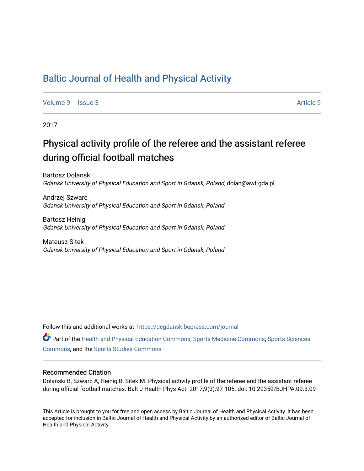### [Baltic Journal of Health and Physical Activity](https://dcgdansk.bepress.com/journal)

[Volume 9](https://dcgdansk.bepress.com/journal/vol9) | [Issue 3](https://dcgdansk.bepress.com/journal/vol9/iss3) Article 9

2017

## Physical activity profile of the referee and the assistant referee during official football matches

Bartosz Dolanski Gdansk University of Physical Education and Sport in Gdansk, Poland, dolan@awf.gda.pl

Andrzej Szwarc Gdansk University of Physical Education and Sport in Gdansk, Poland

Bartosz Heinig Gdansk University of Physical Education and Sport in Gdansk, Poland

Mateusz Sitek Gdansk University of Physical Education and Sport in Gdansk, Poland

Follow this and additional works at: [https://dcgdansk.bepress.com/journal](https://dcgdansk.bepress.com/journal?utm_source=dcgdansk.bepress.com%2Fjournal%2Fvol9%2Fiss3%2F9&utm_medium=PDF&utm_campaign=PDFCoverPages)

Part of the [Health and Physical Education Commons](http://network.bepress.com/hgg/discipline/1327?utm_source=dcgdansk.bepress.com%2Fjournal%2Fvol9%2Fiss3%2F9&utm_medium=PDF&utm_campaign=PDFCoverPages), [Sports Medicine Commons,](http://network.bepress.com/hgg/discipline/1331?utm_source=dcgdansk.bepress.com%2Fjournal%2Fvol9%2Fiss3%2F9&utm_medium=PDF&utm_campaign=PDFCoverPages) [Sports Sciences](http://network.bepress.com/hgg/discipline/759?utm_source=dcgdansk.bepress.com%2Fjournal%2Fvol9%2Fiss3%2F9&utm_medium=PDF&utm_campaign=PDFCoverPages) [Commons](http://network.bepress.com/hgg/discipline/759?utm_source=dcgdansk.bepress.com%2Fjournal%2Fvol9%2Fiss3%2F9&utm_medium=PDF&utm_campaign=PDFCoverPages), and the [Sports Studies Commons](http://network.bepress.com/hgg/discipline/1198?utm_source=dcgdansk.bepress.com%2Fjournal%2Fvol9%2Fiss3%2F9&utm_medium=PDF&utm_campaign=PDFCoverPages) 

#### Recommended Citation

Dolanski B, Szwarc A, Heinig B, Sitek M. Physical activity profile of the referee and the assistant referee during official football matches. Balt J Health Phys Act. 2017;9(3):97-105. doi: 10.29359/BJHPA.09.3.09

This Article is brought to you for free and open access by Baltic Journal of Health and Physical Activity. It has been accepted for inclusion in Baltic Journal of Health and Physical Activity by an authorized editor of Baltic Journal of Health and Physical Activity.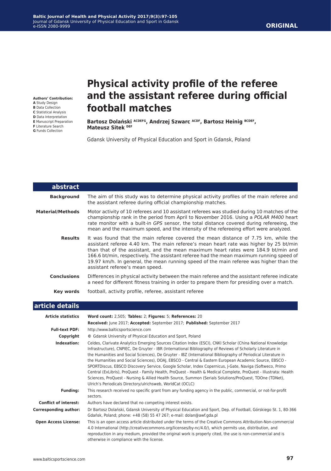#### **ORIGINAL**

**Authors' Contribution: A** Study Design

- **B** Data Collection
- **C** Statistical Analysis
- **D** Data Interpretation
- **E** Manuscript Preparation
- **F** Literature Search **G** Funds Collection
- 

# **Physical activity profile of the referee and the assistant referee during official football matches**

**Bartosz Dolański ACDEFG, Andrzej Szwarc ACDF, Bartosz Heinig BCDEF, Mateusz Sitek DEF**

Gdansk University of Physical Education and Sport in Gdansk, Poland

| abstract                  |                                                                                                                                                                                                                                                                                                                                                                                                                                                                                           |
|---------------------------|-------------------------------------------------------------------------------------------------------------------------------------------------------------------------------------------------------------------------------------------------------------------------------------------------------------------------------------------------------------------------------------------------------------------------------------------------------------------------------------------|
| <b>Background</b>         | The aim of this study was to determine physical activity profiles of the main referee and<br>the assistant referee during official championship matches.                                                                                                                                                                                                                                                                                                                                  |
| <b>Material/Methods</b>   | Motor activity of 10 referees and 10 assistant referees was studied during 10 matches of the<br>championship rank in the period from April to November 2016. Using a POLAR M400 heart<br>rate monitor with a built-in GPS sensor, the total distance covered during refereeing, the<br>mean and the maximum speed, and the intensity of the refereeing effort were analyzed.                                                                                                              |
| <b>Results</b>            | It was found that the main referee covered the mean distance of 7.75 km, while the<br>assistant referee 4.40 km. The main referee's mean heart rate was higher by 25 bt/min<br>than that of the assistant, and the mean maximum heart rates were 184.9 bt/min and<br>166.6 bt/min, respectively. The assistant referee had the mean maximum running speed of<br>19.97 km/h. In general, the mean running speed of the main referee was higher than the<br>assistant referee's mean speed. |
| <b>Conclusions</b>        | Differences in physical activity between the main referee and the assistant referee indicate<br>a need for different fitness training in order to prepare them for presiding over a match.                                                                                                                                                                                                                                                                                                |
| Key words                 | football, activity profile, referee, assistant referee                                                                                                                                                                                                                                                                                                                                                                                                                                    |
| article details           |                                                                                                                                                                                                                                                                                                                                                                                                                                                                                           |
| <b>Article statistics</b> | Word count: 2,505; Tables: 2; Figures: 5; References: 20<br>Received: June 2017; Accepted: September 2017; Published: September 2017                                                                                                                                                                                                                                                                                                                                                      |
| <b>Full-text PDF:</b>     | http://www.balticsportscience.com                                                                                                                                                                                                                                                                                                                                                                                                                                                         |

| Copyright                    | © Gdansk University of Physical Education and Sport, Poland                                                                                                                                                                                                                                                                                                                                                                                                                                                                                                                                                                                                                                                                                                                                                                                                   |
|------------------------------|---------------------------------------------------------------------------------------------------------------------------------------------------------------------------------------------------------------------------------------------------------------------------------------------------------------------------------------------------------------------------------------------------------------------------------------------------------------------------------------------------------------------------------------------------------------------------------------------------------------------------------------------------------------------------------------------------------------------------------------------------------------------------------------------------------------------------------------------------------------|
| Indexation:                  | Celdes, Clarivate Analytics Emerging Sources Citation Index (ESCI), CNKI Scholar (China National Knowledge<br>Infrastructure), CNPIEC, De Gruyter - IBR (International Bibliography of Reviews of Scholarly Literature in<br>the Humanities and Social Sciences), De Gruyter - IBZ (International Bibliography of Periodical Literature in<br>the Humanities and Social Sciences), DOAJ, EBSCO - Central & Eastern European Academic Source, EBSCO -<br>SPORTDiscus, EBSCO Discovery Service, Google Scholar, Index Copernicus, J-Gate, Naviga (Softweco, Primo<br>Central (ExLibris), ProQuest - Family Health, ProQuest - Health & Medical Complete, ProQuest - Illustrata: Health<br>Sciences, ProQuest - Nursing & Allied Health Source, Summon (Serials Solutions/ProQuest, TDOne (TDNet),<br>Ulrich's Periodicals Directory/ulrichsweb, WorldCat (OCLC) |
| <b>Funding:</b>              | This research received no specific grant from any funding agency in the public, commercial, or not-for-profit<br>sectors.                                                                                                                                                                                                                                                                                                                                                                                                                                                                                                                                                                                                                                                                                                                                     |
| <b>Conflict of interest:</b> | Authors have declared that no competing interest exists.                                                                                                                                                                                                                                                                                                                                                                                                                                                                                                                                                                                                                                                                                                                                                                                                      |
| <b>Corresponding author:</b> | Dr Bartosz Dolański, Gdansk University of Physical Education and Sport, Dep. of Football, Górskiego St. 1, 80-366<br>Gdańsk, Poland; phone: +48 (58) 55 47 267; e-mail: dolan@awf.gda.pl                                                                                                                                                                                                                                                                                                                                                                                                                                                                                                                                                                                                                                                                      |
| <b>Open Access License:</b>  | This is an open access article distributed under the terms of the Creative Commons Attribution-Non-commercial<br>4.0 International (http://creativecommons.org/licenses/by-nc/4.0/), which permits use, distribution, and<br>reproduction in any medium, provided the original work is properly cited, the use is non-commercial and is<br>otherwise in compliance with the license.                                                                                                                                                                                                                                                                                                                                                                                                                                                                          |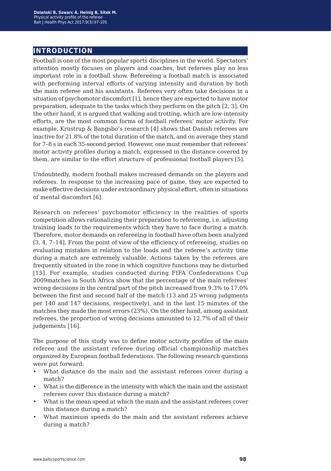### **introduction**

Football is one of the most popular sports disciplines in the world. Spectators' attention mostly focuses on players and coaches, but referees play no less important role in a football show. Refereeing a football match is associated with performing interval efforts of varying intensity and duration by both the main referee and his assistants. Referees very often take decisions in a situation of psychomotor discomfort [1], hence they are expected to have motor preparation, adequate to the tasks which they perform on the pitch [2, 3]. On the other hand, it is argued that walking and trotting, which are low-intensity efforts, are the most common forms of football referees' motor activity. For example, Krustrup & Bangsbo's research [4] shows that Danish referees are inactive for 21.8% of the total duration of the match, and on average they stand for 7–8 s in each 35-second period. However, one must remember that referees' motor activity profiles during a match, expressed in the distance covered by them, are similar to the effort structure of professional football players [5].

Undoubtedly, modern football makes increased demands on the players and referees. In response to the increasing pace of game, they are expected to make effective decisions under extraordinary physical effort, often in situations of mental discomfort [6].

Research on referees' psychomotor efficiency in the realities of sports competition allows rationalizing their preparation to refereeing, i.e. adjusting training loads to the requirements which they have to face during a match. Therefore, motor demands on refereeing in football have often been analyzed [3, 4, 7–14]. From the point of view of the efficiency of refereeing, studies on evaluating mistakes in relation to the loads and the referee's activity time during a match are extremely valuable. Actions taken by the referees are frequently situated in the zone in which cognitive functions may be disturbed [15]. For example, studies conducted during FIFA Confederations Cup 2009matches in South Africa show that the percentage of the main referees' wrong decisions in the central part of the pitch increased from 9.3% to 17.0% between the first and second half of the match (13 and 25 wrong judgments per 140 and 147 decisions, respectively), and in the last 15 minutes of the matches they made the most errors (23%). On the other hand, among assistant referees, the proportion of wrong decisions amounted to 12.7% of all of their judgements [16].

The purpose of this study was to define motor activity profiles of the main referee and the assistant referee during official championship matches organized by European football federations. The following research questions were put forward:

- What distance do the main and the assistant referees cover during a match?
- What is the difference in the intensity with which the main and the assistant referees cover this distance during a match?
- What is the mean speed at which the main and the assistant referees cover this distance during a match?
- What maximum speeds do the main and the assistant referees achieve during a match?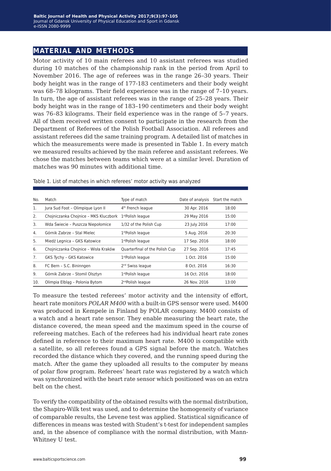#### **material and methods**

Motor activity of 10 main referees and 10 assistant referees was studied during 10 matches of the championship rank in the period from April to November 2016. The age of referees was in the range 26–30 years. Their body height was in the range of 177-183 centimeters and their body weight was 68–78 kilograms. Their field experience was in the range of 7–10 years. In turn, the age of assistant referees was in the range of 25–28 years. Their body height was in the range of 183–190 centimeters and their body weight was 76–83 kilograms. Their field experience was in the range of 5–7 years. All of them received written consent to participate in the research from the Department of Referees of the Polish Football Association. All referees and assistant referees did the same training program. A detailed list of matches in which the measurements were made is presented in Table 1. In every match we measured results achieved by the main referee and assistant referees. We chose the matches between teams which were at a similar level. Duration of matches was 90 minutes with additional time.

| No. | Match                                 | Type of match                  | Date of analysis | Start the match |
|-----|---------------------------------------|--------------------------------|------------------|-----------------|
| 1.  | Jura Sud Foot - Olimpique Lyon II     | 4 <sup>th</sup> French league  | 30 Apr. 2016     | 18:00           |
| 2.  | Chojniczanka Chojnice - MKS Kluczbork | 1 <sup>st</sup> Polish league  | 29 May 2016      | 15:00           |
| 3.  | Wda Świecie - Puszcza Niepołomice     | 1/32 of the Polish Cup         | 23 July 2016     | 17:00           |
| 4.  | Górnik Zabrze - Stal Mielec           | 1stPolish league               | 5 Aug. 2016      | 20:30           |
| 5.  | Miedź Legnica - GKS Katowice          | 1stPolish league               | 17 Sep. 2016     | 18:00           |
| 6.  | Chojniczanka Chojnice - Wisła Kraków  | Quarterfinal of the Polish Cup | 27 Sep. 2016     | 17:45           |
| 7.  | GKS Tychy - GKS Katowice              | 1stPolish league               | 1 Oct. 2016      | 15:00           |
| 8.  | FC Bern - S.C. Bininngen              | 2 <sup>nd</sup> Swiss league   | 8 Oct. 2016      | 16:30           |
| 9.  | Górnik Zabrze - Stomil Olsztyn        | 1stPolish league               | 16 Oct. 2016     | 18:00           |
| 10. | Olimpia Elblag - Polonia Bytom        | 2 <sup>nd</sup> Polish league  | 26 Nov. 2016     | 13:00           |

Table 1. List of matches in which referees' motor activity was analyzed

To measure the tested referees' motor activity and the intensity of effort, heart rate monitors *POLAR M400* with a built-in GPS sensor were used. M400 was produced in Kempele in Finland by POLAR company. M400 consists of a watch and a heart rate sensor. They enable measuring the heart rate, the distance covered, the mean speed and the maximum speed in the course of refereeing matches. Each of the referees had his individual heart rate zones defined in reference to their maximum heart rate. M400 is compatible with a satellite, so all referees found a GPS signal before the match. Watches recorded the distance which they covered, and the running speed during the match. After the game they uploaded all results to the computer by means of polar flow program. Referees' heart rate was registered by a watch which was synchronized with the heart rate sensor which positioned was on an extra belt on the chest.

To verify the compatibility of the obtained results with the normal distribution, the Shapiro-Wilk test was used, and to determine the homogeneity of variance of comparable results, the Levene test was applied. Statistical significance of differences in means was tested with Student's t-test for independent samples and, in the absence of compliance with the normal distribution, with Mann-Whitney U test.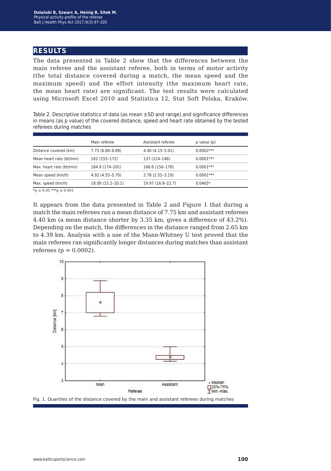#### **results**

The data presented in Table 2 show that the differences between the main referee and the assistant referee, both in terms of motor activity (the total distance covered during a match, the mean speed and the maximum speed) and the effort intensity (the maximum heart rate, the mean heart rate) are significant. The test results were calculated using Microsoft Excel 2010 and Statistica 12, Stat Soft Polska, Kraków.

Table 2. Descriptive statistics of data (as mean ±SD and range) and significance differences in means (as p value) of the covered distance, speed and heart rate obtained by the tested referees during matches

|                           | Main referee      | Assistant referee | p value (p) |  |
|---------------------------|-------------------|-------------------|-------------|--|
| Distance covered (km)     | 7.75 (6.80-8.89)  | $4.40(4.15-5.01)$ | $0.0002***$ |  |
| Mean heart rate (bt/min)  | 162 (155-172)     | 137 (124-146)     | $0.0001***$ |  |
| Max. heart rate (bt/min)  | 184.9 (174-201)   | 166.6 (156-178)   | $0.0001***$ |  |
| Mean speed (km/h)         | 4.92 (4.55–5.70)  | $2.78(2.55-3.19)$ | $0.0001***$ |  |
| Max. speed (km/h)         | 18.08 (15.2-20.1) | 19.97 (16.8–22.7) | $0.0465*$   |  |
| $+ - -0.05 + + - - 0.001$ |                   |                   |             |  |

 $np \leq 0.05$ \*\*\*p  $\leq 0.001$ 

It appears from the data presented in Table 2 and Figure 1 that during a match the main referees ran a mean distance of 7.75 km and assistant referees 4.40 km (a mean distance shorter by 3.35 km, gives a difference of 43.2%). Depending on the match, the differences in the distance ranged from 2.65 km to 4.39 km. Analysis with a use of the Mann-Whitney U test proved that the main referees ran significantly longer distances during matches than assistant referees ( $p = 0.0002$ ).

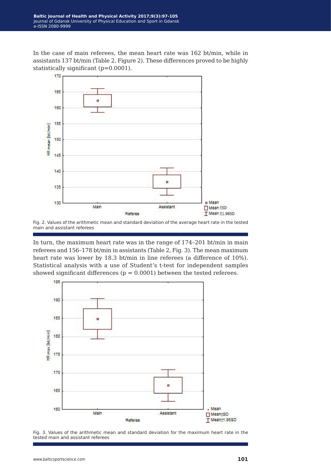In the case of main referees, the mean heart rate was 162 bt/min, while in assistants 137 bt/min (Table 2, Figure 2). These differences proved to be highly statistically significant (p=0.0001).



Fig. 2. Values of the arithmetic mean and standard deviation of the average heart rate in the tested main and assistant referees

In turn, the maximum heart rate was in the range of 174–201 bt/min in main referees and 156–178 bt/min in assistants (Table 2, Fig. 3). The mean maximum heart rate was lower by 18.3 bt/min in line referees (a difference of 10%). Statistical analysis with a use of Student's t-test for independent samples showed significant differences ( $p = 0.0001$ ) between the tested referees.



Fig. 3. Values of the arithmetic mean and standard deviation for the maximum heart rate in the tested main and assistant referees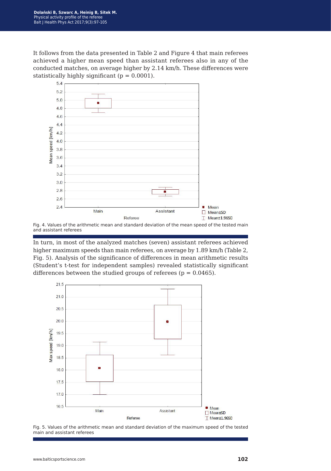It follows from the data presented in Table 2 and Figure 4 that main referees achieved a higher mean speed than assistant referees also in any of the conducted matches, on average higher by 2.14 km/h. These differences were statistically highly significant ( $p = 0.0001$ ).



and assistant referees

In turn, in most of the analyzed matches (seven) assistant referees achieved higher maximum speeds than main referees, on average by 1.89 km/h (Table 2, Fig. 5). Analysis of the significance of differences in mean arithmetic results (Student's t-test for independent samples) revealed statistically significant differences between the studied groups of referees ( $p = 0.0465$ ).



Fig. 5. Values of the arithmetic mean and standard deviation of the maximum speed of the tested main and assistant referees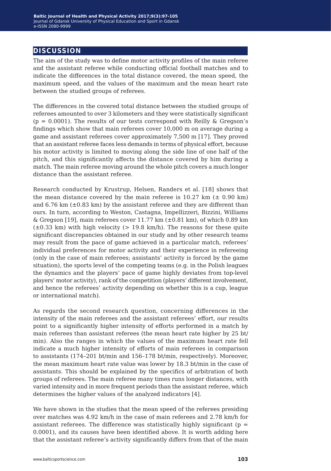#### **discussion**

The aim of the study was to define motor activity profiles of the main referee and the assistant referee while conducting official football matches and to indicate the differences in the total distance covered, the mean speed, the maximum speed, and the values of the maximum and the mean heart rate between the studied groups of referees.

The differences in the covered total distance between the studied groups of referees amounted to over 3 kilometers and they were statistically significant  $(p = 0.0001)$ . The results of our tests correspond with Reilly & Gregson's findings which show that main referees cover 10,000 m on average during a game and assistant referees cover approximately 7,500 m [17]. They proved that an assistant referee faces less demands in terms of physical effort, because his motor activity is limited to moving along the side line of one half of the pitch, and this significantly affects the distance covered by him during a match. The main referee moving around the whole pitch covers a much longer distance than the assistant referee.

Research conducted by Krustrup, Helsen, Randers et al. [18] shows that the mean distance covered by the main referee is  $10.27 \text{ km } (\pm 0.90 \text{ km})$ and  $6.76 \text{ km } (\pm 0.83 \text{ km})$  by the assistant referee and they are different than ours. In turn, according to Weston, Castagna, Impellizzeri, Bizzini, Williams & Gregson [19], main referees cover 11.77 km  $(\pm 0.81 \text{ km})$ , of which 0.89 km  $(\pm 0.33 \text{ km})$  with high velocity ( $> 19.8 \text{ km/h}$ ). The reasons for these quite significant discrepancies obtained in our study and by other research teams may result from the pace of game achieved in a particular match, referees' individual preferences for motor activity and their experience in refereeing (only in the case of main referees; assistants' activity is forced by the game situation), the sports level of the competing teams (e.g. in the Polish leagues the dynamics and the players' pace of game highly deviates from top-level players' motor activity), rank of the competition (players' different involvement, and hence the referees' activity depending on whether this is a cup, league or international match).

As regards the second research question, concerning differences in the intensity of the main referees and the assistant referees' effort, our results point to a significantly higher intensity of efforts performed in a match by main referees than assistant referees (the mean heart rate higher by 25 bt/ min). Also the ranges in which the values of the maximum heart rate fell indicate a much higher intensity of efforts of main referees in comparison to assistants (174–201 bt/min and 156–178 bt/min, respectively). Moreover, the mean maximum heart rate value was lower by 18.3 bt/min in the case of assistants. This should be explained by the specifics of arbitration of both groups of referees. The main referee many times runs longer distances, with varied intensity and in more frequent periods than the assistant referee, which determines the higher values of the analyzed indicators [4].

We have shown in the studies that the mean speed of the referees presiding over matches was 4.92 km/h in the case of main referees and 2.78 km/h for assistant referees. The difference was statistically highly significant ( $p =$ 0.0001), and its causes have been identified above. It is worth adding here that the assistant referee's activity significantly differs from that of the main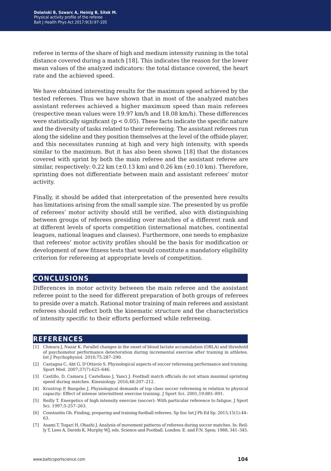referee in terms of the share of high and medium intensity running in the total distance covered during a match [18]. This indicates the reason for the lower mean values of the analyzed indicators: the total distance covered, the heart rate and the achieved speed.

We have obtained interesting results for the maximum speed achieved by the tested referees. Thus we have shown that in most of the analyzed matches assistant referees achieved a higher maximum speed than main referees (respective mean values were 19.97 km/h and 18.08 km/h). These differences were statistically significant ( $p < 0.05$ ). These facts indicate the specific nature and the diversity of tasks related to their refereeing. The assistant referees run along the sideline and they position themselves at the level of the offside player, and this necessitates running at high and very high intensity, with speeds similar to the maximum. But it has also been shown [18] that the distances covered with sprint by both the main referee and the assistant referee are similar, respectively:  $0.22 \text{ km } (\pm 0.13 \text{ km})$  and  $0.26 \text{ km } (\pm 0.10 \text{ km})$ . Therefore, sprinting does not differentiate between main and assistant referees' motor activity.

Finally, it should be added that interpretation of the presented here results has limitations arising from the small sample size. The presented by us profile of referees' motor activity should still be verified, also with distinguishing between groups of referees presiding over matches of a different rank and at different levels of sports competition (international matches, continental leagues, national leagues and classes). Furthermore, one needs to emphasize that referees' motor activity profiles should be the basis for modification or development of new fitness tests that would constitute a mandatory eligibility criterion for refereeing at appropriate levels of competition.

#### **conclusions**

Differences in motor activity between the main referee and the assistant referee point to the need for different preparation of both groups of referees to preside over a match. Rational motor training of main referees and assistant referees should reflect both the kinematic structure and the characteristics of intensity specific to their efforts performed while refereeing.

#### **references**

- [1] Chmura J, Nazar K. Parallel changes in the onset of blood lactate accumulation (OBLA) and threshold of psychomotor performance deterioration during incremental exercise after training in athletes. Int J Psychophysiol. 2010;75:287–290.
- [2] Castagna C, Abt G, D'Ottavio S. Physiological aspects of soccer refereeing performance and training. Sport Med. 2007;37(7):625–646.
- [3] Castillo, D, Camara J. Castellano J, Yanci J. Football match officials do not attain maximal sprinting speed during matches. Kinesiology. 2016;48:207–212.
- [4] Krustrup P, Bangsbo J. Physiological demands of top class soccer refereeing in relation to physical capacity: Effect of intense intermittent exercise training. J Sport Sci. 2001;19:881–891.
- [5] Reilly T. Energetics of high intensity exercise (soccer): With particular reference to fatigue. J Sport Sci. 1997;5:257–263.
- [6] Constantin Gh. Finding, preparing and training football referees. Sp Soc Int J Ph Ed Sp. 2015;15(1):44– 63.
- [7] Asami T, Togari H, Ohashi J. Analysis of movement patterns of referees during soccer matches. In: Reilly T, Lees A, Davids K, Murphy WJ, eds. Science and Football. London: E. and F.N. Spon; 1988, 341–345.